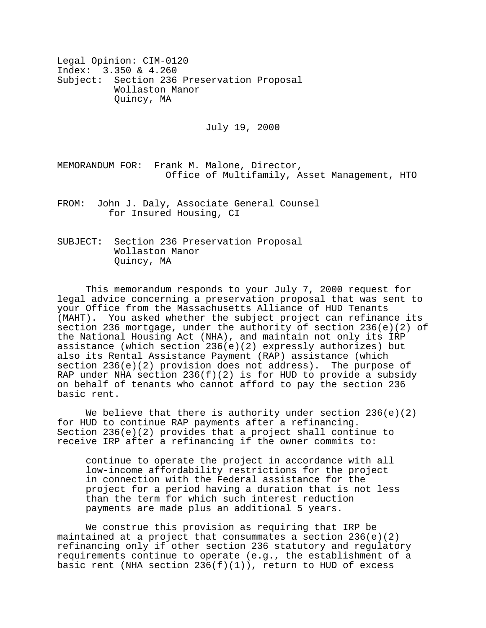Legal Opinion: CIM-0120 Index: 3.350 & 4.260 Subject: Section 236 Preservation Proposal Wollaston Manor Quincy, MA

July 19, 2000

MEMORANDUM FOR: Frank M. Malone, Director, Office of Multifamily, Asset Management, HTO

FROM: John J. Daly, Associate General Counsel for Insured Housing, CI

SUBJECT: Section 236 Preservation Proposal Wollaston Manor Quincy, MA

This memorandum responds to your July 7, 2000 request for legal advice concerning a preservation proposal that was sent to your Office from the Massachusetts Alliance of HUD Tenants (MAHT). You asked whether the subject project can refinance its section 236 mortgage, under the authority of section 236(e)(2) of the National Housing Act (NHA), and maintain not only its IRP assistance (which section 236(e)(2) expressly authorizes) but also its Rental Assistance Payment (RAP) assistance (which section  $236(e)(2)$  provision does not address). The purpose of RAP under NHA section 236(f)(2) is for HUD to provide a subsidy on behalf of tenants who cannot afford to pay the section 236 basic rent.

We believe that there is authority under section  $236(e)(2)$ for HUD to continue RAP payments after a refinancing. Section  $236(e)(2)$  provides that a project shall continue to receive IRP after a refinancing if the owner commits to:

continue to operate the project in accordance with all low-income affordability restrictions for the project in connection with the Federal assistance for the project for a period having a duration that is not less than the term for which such interest reduction payments are made plus an additional 5 years.

We construe this provision as requiring that IRP be maintained at a project that consummates a section  $236(e)(2)$ refinancing only if other section 236 statutory and regulatory requirements continue to operate (e.g., the establishment of a basic rent (NHA section  $236(f)(1)$ ), return to HUD of excess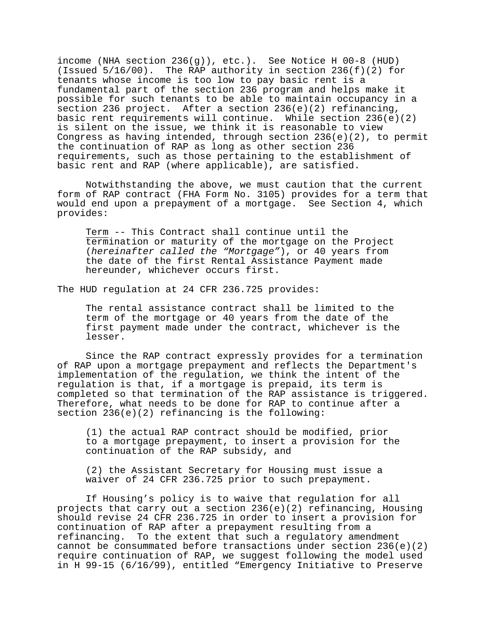income (NHA section 236(g)), etc.). See Notice H 00-8 (HUD) (Issued 5/16/00). The RAP authority in section 236(f)(2) for tenants whose income is too low to pay basic rent is a fundamental part of the section 236 program and helps make it possible for such tenants to be able to maintain occupancy in a section 236 project. After a section 236(e)(2) refinancing, basic rent requirements will continue. While section  $236(e)(2)$ is silent on the issue, we think it is reasonable to view Congress as having intended, through section 236(e)(2), to permit the continuation of RAP as long as other section 236 requirements, such as those pertaining to the establishment of basic rent and RAP (where applicable), are satisfied.

 Notwithstanding the above, we must caution that the current form of RAP contract (FHA Form No. 3105) provides for a term that would end upon a prepayment of a mortgage. See Section 4, which provides:

Term -- This Contract shall continue until the termination or maturity of the mortgage on the Project (*hereinafter called the "Mortgage"*), or 40 years from the date of the first Rental Assistance Payment made hereunder, whichever occurs first.

The HUD regulation at 24 CFR 236.725 provides:

The rental assistance contract shall be limited to the term of the mortgage or 40 years from the date of the first payment made under the contract, whichever is the lesser.

Since the RAP contract expressly provides for a termination of RAP upon a mortgage prepayment and reflects the Department's implementation of the regulation, we think the intent of the regulation is that, if a mortgage is prepaid, its term is completed so that termination of the RAP assistance is triggered. Therefore, what needs to be done for RAP to continue after a section 236(e)(2) refinancing is the following:

(1) the actual RAP contract should be modified, prior to a mortgage prepayment, to insert a provision for the continuation of the RAP subsidy, and

(2) the Assistant Secretary for Housing must issue a waiver of 24 CFR 236.725 prior to such prepayment.

If Housing's policy is to waive that regulation for all projects that carry out a section  $236(e)(2)$  refinancing, Housing should revise 24 CFR 236.725 in order to insert a provision for continuation of RAP after a prepayment resulting from a refinancing. To the extent that such a regulatory amendment cannot be consummated before transactions under section  $236(e)(2)$ require continuation of RAP, we suggest following the model used in H 99-15 (6/16/99), entitled "Emergency Initiative to Preserve